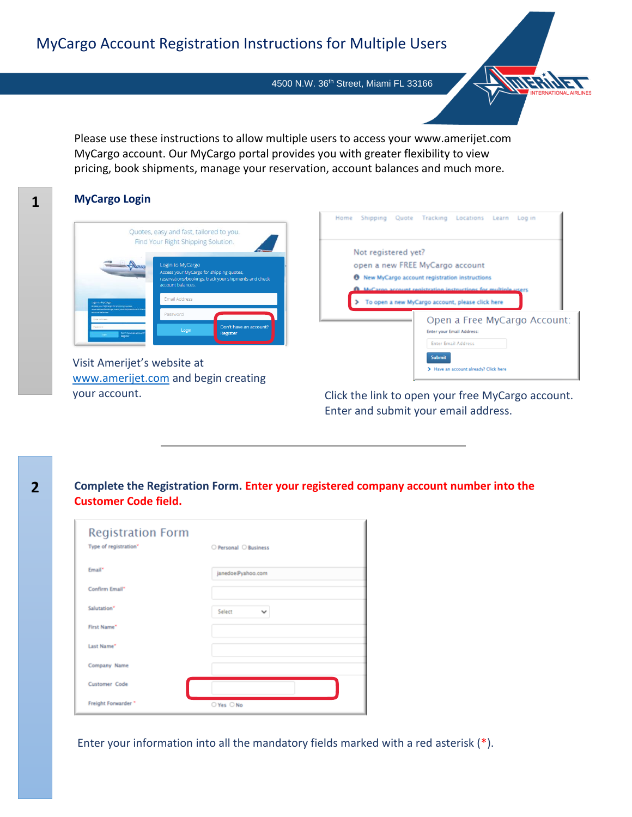4500 N.W. 36th Street, Miami FL 33166

Please use these instructions to allow multiple users to access your www.amerijet.com MyCargo account. Our MyCargo portal provides you with greater flexibility to view pricing, book shipments, manage your reservation, account balances and much more.

#### **MyCargo Login**



Visit Amerijet's website at [www.amerijet.com](http://www.amerijet.com/) and begin creating your account.

|                                 |               | Home Shipping Quote Tracking Locations Learn Login        |                              |  |
|---------------------------------|---------------|-----------------------------------------------------------|------------------------------|--|
| Not registered yet?             |               |                                                           |                              |  |
| open a new FREE MyCargo account |               |                                                           |                              |  |
|                                 |               | <b>6</b> New MyCargo account registration instructions    |                              |  |
|                                 |               | arno account registration instructions for multiple users |                              |  |
|                                 |               | To open a new MyCargo account, please click here          |                              |  |
|                                 |               | <b>Enter your Email Address:</b>                          | Open a Free MyCargo Account: |  |
|                                 |               | <b>Enter Email Address</b>                                |                              |  |
|                                 | <b>Submit</b> | Have an account already? Click here                       |                              |  |

FEIIN

Click the link to open your free MyCargo account. Enter and submit your email address.

**Complete the Registration Form. Enter your registered company account number into the Customer Code field.**

| <b>Registration Form</b><br>Type of registration* | O Personal O Business  |
|---------------------------------------------------|------------------------|
| Email <sup>*</sup>                                | janedoe@yahoo.com      |
| Confirm Email*                                    |                        |
| Salutation*                                       | Select<br>$\checkmark$ |
| First Name*                                       |                        |
| Last Name*                                        |                        |
| Company Name                                      |                        |
| <b>Customer Code</b>                              |                        |
| Freight Forwarder *                               | ○ Yes ○ No             |

Enter your information into all the mandatory fields marked with a red asterisk (\*).

**1**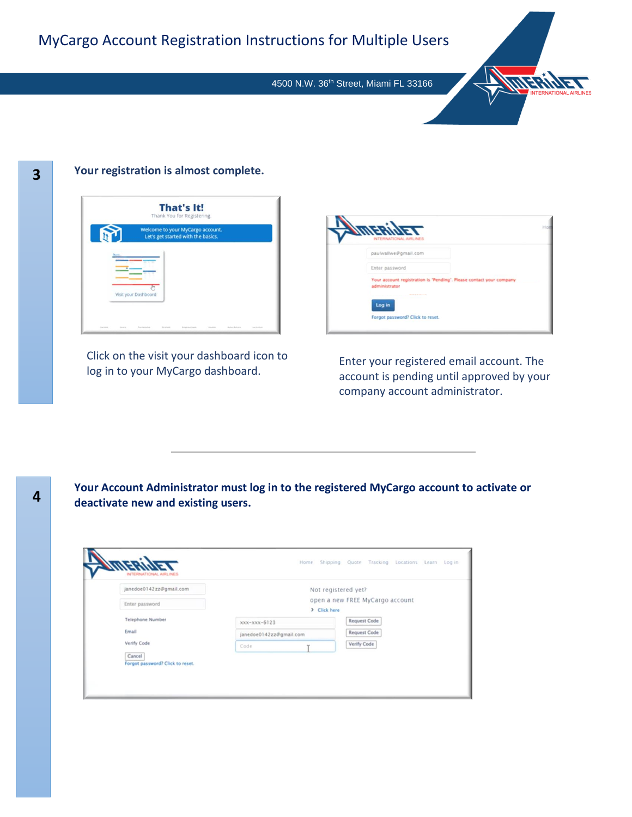4500 N.W. 36th Street, Miami FL 33166



# **3**

#### **Your registration is almost complete.**



Click on the visit your dashboard icon to log in to your MyCargo dashboard.

neriye L paulwallwe@gmail.com Enter password Your account registration is 'Pending'. Please contact your com Log in Forgot password? Click to reset.

Enter your registered email account. The account is pending until approved by your company account administrator.

**Your Account Administrator must log in to the registered MyCargo account to activate or deactivate new and existing users.**

| janedoe0142zz@gmail.com                    | Not registered yet?                             |  |                     |
|--------------------------------------------|-------------------------------------------------|--|---------------------|
| Enter password                             | open a new FREE MyCargo account<br>> Click here |  |                     |
| <b>Telephone Number</b>                    | $xxx-xxx-6123$                                  |  | <b>Request Code</b> |
| Email                                      | janedoe0142zz@gmail.com                         |  | <b>Request Code</b> |
| Verify Code                                | Code                                            |  | Verify Code         |
| Cancel<br>Forgot password? Click to reset. |                                                 |  |                     |